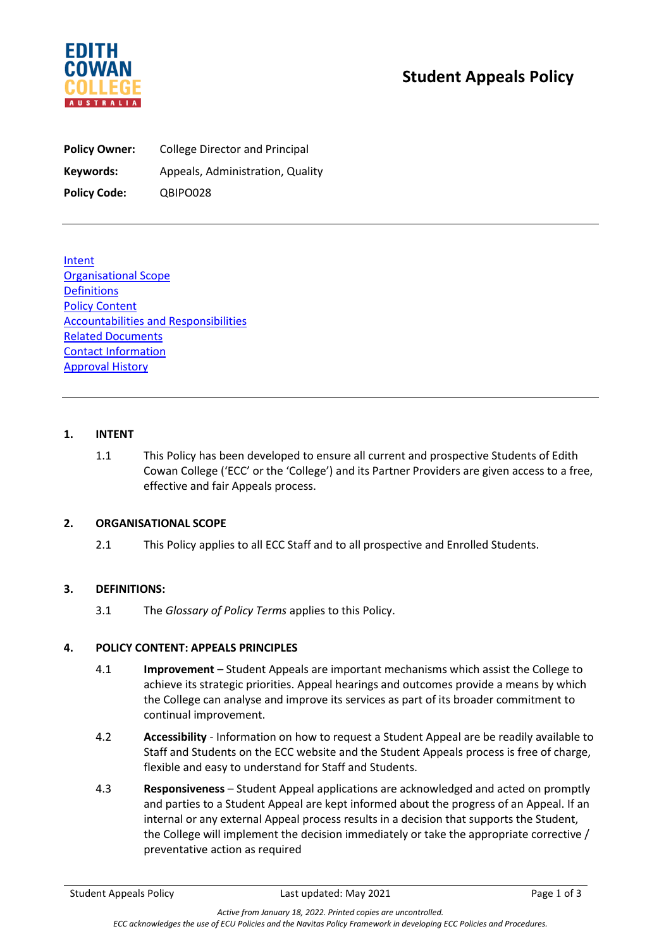

# **Student Appeals Policy**

**Policy Owner:** College Director and Principal Keywords: Appeals, Administration, Quality **Policy Code:** QBIPO028

Intent Organisational Scope **Definitions** Policy Content Accountabilities and Responsibilities Related Documents Contact Information Approval History

#### **1. INTENT**

1.1 This Policy has been developed to ensure all current and prospective Students of Edith Cowan College ('ECC' or the 'College') and its Partner Providers are given access to a free, effective and fair Appeals process.

## **2. ORGANISATIONAL SCOPE**

2.1 This Policy applies to all ECC Staff and to all prospective and Enrolled Students.

## **3. DEFINITIONS:**

3.1 The *Glossary of Policy Terms* applies to this Policy.

## **4. POLICY CONTENT: APPEALS PRINCIPLES**

- 4.1 **Improvement** Student Appeals are important mechanisms which assist the College to achieve its strategic priorities. Appeal hearings and outcomes provide a means by which the College can analyse and improve its services as part of its broader commitment to continual improvement.
- 4.2 **Accessibility** Information on how to request a Student Appeal are be readily available to Staff and Students on the ECC website and the Student Appeals process is free of charge, flexible and easy to understand for Staff and Students.
- 4.3 **Responsiveness**  Student Appeal applications are acknowledged and acted on promptly and parties to a Student Appeal are kept informed about the progress of an Appeal. If an internal or any external Appeal process results in a decision that supports the Student, the College will implement the decision immediately or take the appropriate corrective / preventative action as required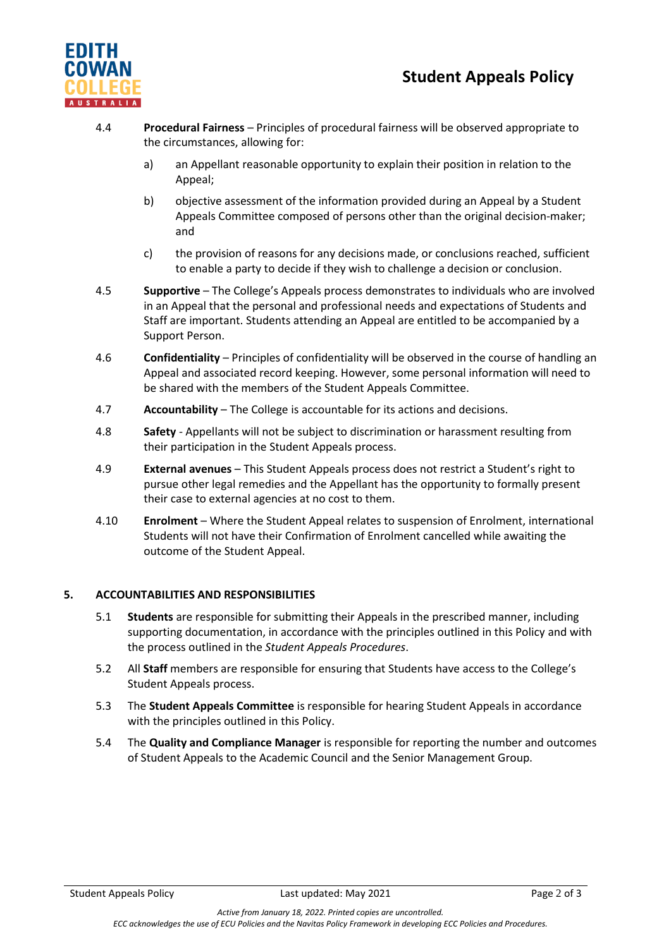# **Student Appeals Policy**



- 4.4 **Procedural Fairness** Principles of procedural fairness will be observed appropriate to the circumstances, allowing for:
	- a) an Appellant reasonable opportunity to explain their position in relation to the Appeal;
	- b) objective assessment of the information provided during an Appeal by a Student Appeals Committee composed of persons other than the original decision-maker; and
	- c) the provision of reasons for any decisions made, or conclusions reached, sufficient to enable a party to decide if they wish to challenge a decision or conclusion.
- 4.5 **Supportive** The College's Appeals process demonstrates to individuals who are involved in an Appeal that the personal and professional needs and expectations of Students and Staff are important. Students attending an Appeal are entitled to be accompanied by a Support Person.
- 4.6 **Confidentiality** Principles of confidentiality will be observed in the course of handling an Appeal and associated record keeping. However, some personal information will need to be shared with the members of the Student Appeals Committee.
- 4.7 **Accountability**  The College is accountable for its actions and decisions.
- 4.8 **Safety** Appellants will not be subject to discrimination or harassment resulting from their participation in the Student Appeals process.
- 4.9 **External avenues** This Student Appeals process does not restrict a Student's right to pursue other legal remedies and the Appellant has the opportunity to formally present their case to external agencies at no cost to them.
- 4.10 **Enrolment** Where the Student Appeal relates to suspension of Enrolment, international Students will not have their Confirmation of Enrolment cancelled while awaiting the outcome of the Student Appeal.

## **5. ACCOUNTABILITIES AND RESPONSIBILITIES**

- 5.1 **Students** are responsible for submitting their Appeals in the prescribed manner, including supporting documentation, in accordance with the principles outlined in this Policy and with the process outlined in the *Student Appeals Procedures*.
- 5.2 All **Staff** members are responsible for ensuring that Students have access to the College's Student Appeals process.
- 5.3 The **Student Appeals Committee** is responsible for hearing Student Appeals in accordance with the principles outlined in this Policy.
- 5.4 The **Quality and Compliance Manager** is responsible for reporting the number and outcomes of Student Appeals to the Academic Council and the Senior Management Group.